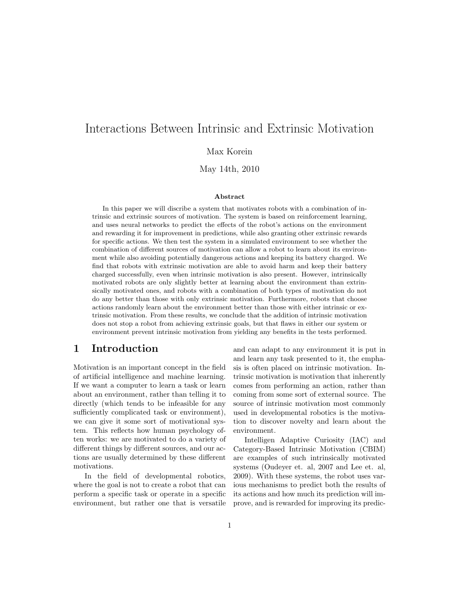# Interactions Between Intrinsic and Extrinsic Motivation

Max Korein

May 14th, 2010

#### Abstract

In this paper we will discribe a system that motivates robots with a combination of intrinsic and extrinsic sources of motivation. The system is based on reinforcement learning, and uses neural networks to predict the effects of the robot's actions on the environment and rewarding it for improvement in predictions, while also granting other extrinsic rewards for specific actions. We then test the system in a simulated environment to see whether the combination of different sources of motivation can allow a robot to learn about its environment while also avoiding potentially dangerous actions and keeping its battery charged. We find that robots with extrinsic motivation are able to avoid harm and keep their battery charged successfully, even when intrinsic motivation is also present. However, intrinsically motivated robots are only slightly better at learning about the environment than extrinsically motivated ones, and robots with a combination of both types of motivation do not do any better than those with only extrinsic motivation. Furthermore, robots that choose actions randomly learn about the environment better than those with either intrinsic or extrinsic motivation. From these results, we conclude that the addition of intrinsic motivation does not stop a robot from achieving extrinsic goals, but that flaws in either our system or environment prevent intrinsic motivation from yielding any benefits in the tests performed.

### 1 Introduction

Motivation is an important concept in the field of artificial intelligence and machine learning. If we want a computer to learn a task or learn about an environment, rather than telling it to directly (which tends to be infeasible for any sufficiently complicated task or environment), we can give it some sort of motivational system. This reflects how human psychology often works: we are motivated to do a variety of different things by different sources, and our actions are usually determined by these different motivations.

In the field of developmental robotics, where the goal is not to create a robot that can perform a specific task or operate in a specific environment, but rather one that is versatile and can adapt to any environment it is put in and learn any task presented to it, the emphasis is often placed on intrinsic motivation. Intrinsic motivation is motivation that inherently comes from performing an action, rather than coming from some sort of external source. The source of intrinsic motivation most commonly used in developmental robotics is the motivation to discover novelty and learn about the environment.

Intelligen Adaptive Curiosity (IAC) and Category-Based Intrinsic Motivation (CBIM) are examples of such intrinsically motivated systems (Oudeyer et. al, 2007 and Lee et. al, 2009). With these systems, the robot uses various mechanisms to predict both the results of its actions and how much its prediction will improve, and is rewarded for improving its predic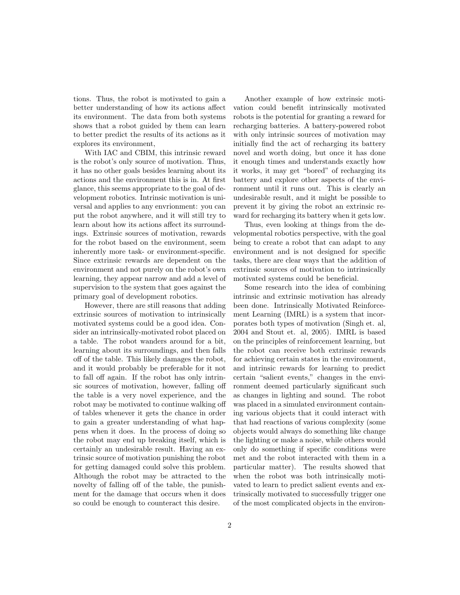tions. Thus, the robot is motivated to gain a better understanding of how its actions affect its environment. The data from both systems shows that a robot guided by them can learn to better predict the results of its actions as it explores its environment,

With IAC and CBIM, this intrinsic reward is the robot's only source of motivation. Thus, it has no other goals besides learning about its actions and the environment this is in. At first glance, this seems appropriate to the goal of development robotics. Intrinsic motivation is universal and applies to any envrionment: you can put the robot anywhere, and it will still try to learn about how its actions affect its surroundings. Extrinsic sources of motivation, rewards for the robot based on the environment, seem inherently more task- or environment-specific. Since extrinsic rewards are dependent on the environment and not purely on the robot's own learning, they appear narrow and add a level of supervision to the system that goes against the primary goal of development robotics.

However, there are still reasons that adding extrinsic sources of motivation to intrinsically motivated systems could be a good idea. Consider an intrinsically-motivated robot placed on a table. The robot wanders around for a bit, learning about its surroundings, and then falls off of the table. This likely damages the robot, and it would probably be preferable for it not to fall off again. If the robot has only intrinsic sources of motivation, however, falling off the table is a very novel experience, and the robot may be motivated to continue walking off of tables whenever it gets the chance in order to gain a greater understanding of what happens when it does. In the process of doing so the robot may end up breaking itself, which is certainly an undesirable result. Having an extrinsic source of motivation punishing the robot for getting damaged could solve this problem. Although the robot may be attracted to the novelty of falling off of the table, the punishment for the damage that occurs when it does so could be enough to counteract this desire.

Another example of how extrinsic motivation could benefit intrinsically motivated robots is the potential for granting a reward for recharging batteries. A battery-powered robot with only intrinsic sources of motivation may initially find the act of recharging its battery novel and worth doing, but once it has done it enough times and understands exactly how it works, it may get "bored" of recharging its battery and explore other aspects of the environment until it runs out. This is clearly an undesirable result, and it might be possible to prevent it by giving the robot an extrinsic reward for recharging its battery when it gets low.

Thus, even looking at things from the developmental robotics perspective, with the goal being to create a robot that can adapt to any environment and is not designed for specific tasks, there are clear ways that the addition of extrinsic sources of motivation to intrinsically motivated systems could be beneficial.

Some research into the idea of combining intrinsic and extrinsic motivation has already been done. Intrinsically Motivated Reinforcement Learning (IMRL) is a system that incorporates both types of motivation (Singh et. al, 2004 and Stout et. al, 2005). IMRL is based on the principles of reinforcement learning, but the robot can receive both extrinsic rewards for achieving certain states in the environment, and intrinsic rewards for learning to predict certain "salient events," changes in the environment deemed particularly significant such as changes in lighting and sound. The robot was placed in a simulated environment containing various objects that it could interact with that had reactions of various complexity (some objects would always do something like change the lighting or make a noise, while others would only do something if specific conditions were met and the robot interacted with them in a particular matter). The results showed that when the robot was both intrinsically motivated to learn to predict salient events and extrinsically motivated to successfully trigger one of the most complicated objects in the environ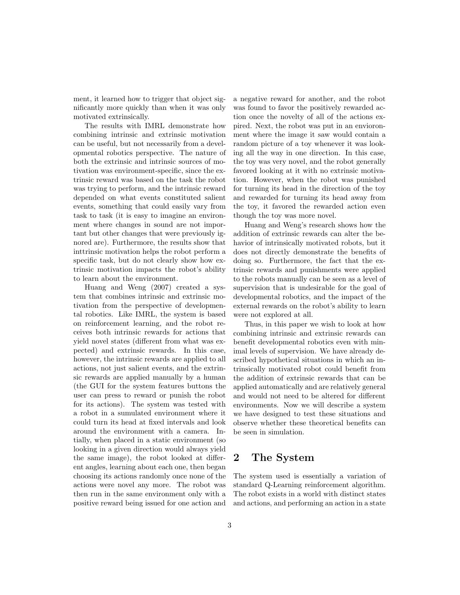ment, it learned how to trigger that object significantly more quickly than when it was only motivated extrinsically.

The results with IMRL demonstrate how combining intrinsic and extrinsic motivation can be useful, but not necessarily from a developmental robotics perspective. The nature of both the extrinsic and intrinsic sources of motivation was environment-specific, since the extrinsic reward was based on the task the robot was trying to perform, and the intrinsic reward depended on what events constituted salient events, something that could easily vary from task to task (it is easy to imagine an environment where changes in sound are not important but other changes that were previously ignored are). Furthermore, the results show that inttrinsic motivation helps the robot perform a specific task, but do not clearly show how extrinsic motivation impacts the robot's ability to learn about the environment.

Huang and Weng (2007) created a system that combines intrinsic and extrinsic motivation from the perspective of developmental robotics. Like IMRL, the system is based on reinforcement learning, and the robot receives both intrinsic rewards for actions that yield novel states (different from what was expected) and extrinsic rewards. In this case, however, the intrinsic rewards are applied to all actions, not just salient events, and the extrinsic rewards are applied manually by a human (the GUI for the system features buttons the user can press to reward or punish the robot for its actions). The system was tested with a robot in a sumulated environment where it could turn its head at fixed intervals and look around the environment with a camera. Intially, when placed in a static environment (so looking in a given direction would always yield the same image), the robot looked at different angles, learning about each one, then began choosing its actions randomly once none of the actions were novel any more. The robot was then run in the same environment only with a positive reward being issued for one action and a negative reward for another, and the robot was found to favor the positively rewarded action once the novelty of all of the actions expired. Next, the robot was put in an envioronment where the image it saw would contain a random picture of a toy whenever it was looking all the way in one direction. In this case, the toy was very novel, and the robot generally favored looking at it with no extrinsic motivation. However, when the robot was punished for turning its head in the direction of the toy and rewarded for turning its head away from the toy, it favored the rewarded action even though the toy was more novel.

Huang and Weng's research shows how the addition of extrinsic rewards can alter the behavior of intrinsically motivated robots, but it does not directly demonstrate the benefits of doing so. Furthermore, the fact that the extrinsic rewards and punishments were applied to the robots manually can be seen as a level of supervision that is undesirable for the goal of developmental robotics, and the impact of the external rewards on the robot's ability to learn were not explored at all.

Thus, in this paper we wish to look at how combining intrinsic and extrinsic rewards can benefit developmental robotics even with minimal levels of supervision. We have already described hypothetical situations in which an intrinsically motivated robot could benefit from the addition of extrinsic rewards that can be applied automatically and are relatively general and would not need to be altered for different environments. Now we will describe a system we have designed to test these situations and observe whether these theoretical benefits can be seen in simulation.

## 2 The System

The system used is essentially a variation of standard Q-Learning reinforcement algorithm. The robot exists in a world with distinct states and actions, and performing an action in a state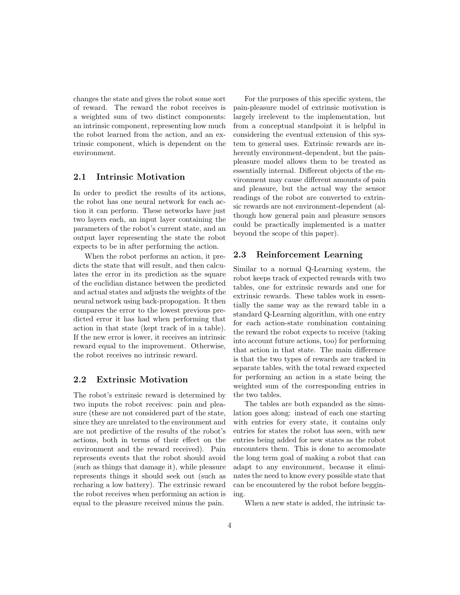changes the state and gives the robot some sort of reward. The reward the robot receives is a weighted sum of two distinct components: an intrinsic component, representing how much the robot learned from the action, and an extrinsic component, which is dependent on the environment.

#### 2.1 Intrinsic Motivation

In order to predict the results of its actions, the robot has one neural network for each action it can perform. These networks have just two layers each, an input layer containing the parameters of the robot's current state, and an output layer representing the state the robot expects to be in after performing the action.

When the robot performs an action, it predicts the state that will result, and then calculates the error in its prediction as the square of the euclidian distance between the predicted and actual states and adjusts the weights of the neural network using back-propogation. It then compares the error to the lowest previous predicted error it has had when performing that action in that state (kept track of in a table). If the new error is lower, it receives an intrinsic reward equal to the improvement. Otherwise, the robot receives no intrinsic reward.

#### 2.2 Extrinsic Motivation

The robot's extrinsic reward is determined by two inputs the robot receives: pain and pleasure (these are not considered part of the state, since they are unrelated to the environment and are not predictive of the results of the robot's actions, both in terms of their effect on the environment and the reward received). Pain represents events that the robot should avoid (such as things that damage it), while pleasure represents things it should seek out (such as recharing a low battery). The extrinsic reward the robot receives when performing an action is equal to the pleasure received minus the pain.

For the purposes of this specific system, the pain-pleasure model of extrinsic motivation is largely irrelevent to the implementation, but from a conceptual standpoint it is helpful in considering the eventual extension of this system to general uses. Extrinsic rewards are inherently environment-dependent, but the painpleasure model allows them to be treated as essentially internal. Different objects of the environment may cause different amounts of pain and pleasure, but the actual way the sensor readings of the robot are converted to extrinsic rewards are not environment-dependent (although how general pain and pleasure sensors could be practically implemented is a matter beyond the scope of this paper).

#### 2.3 Reinforcement Learning

Similar to a normal Q-Learning system, the robot keeps track of expected rewards with two tables, one for extrinsic rewards and one for extrinsic rewards. These tables work in essentially the same way as the reward table in a standard Q-Learning algorithm, with one entry for each action-state combination containing the reward the robot expects to receive (taking into account future actions, too) for performing that action in that state. The main difference is that the two types of rewards are tracked in separate tables, with the total reward expected for performing an action in a state being the weighted sum of the corresponding entries in the two tables.

The tables are both expanded as the simulation goes along: instead of each one starting with entries for every state, it contains only entries for states the robot has seen, with new entries being added for new states as the robot encounters them. This is done to accomodate the long term goal of making a robot that can adapt to any environment, because it eliminates the need to know every possible state that can be encountered by the robot before beggining.

When a new state is added, the intrinsic ta-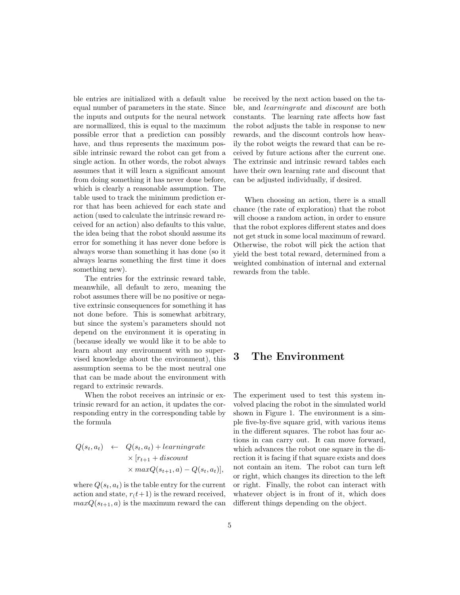ble entries are initialized with a default value equal number of parameters in the state. Since the inputs and outputs for the neural network are normallized, this is equal to the maximum possible error that a prediction can possibly have, and thus represents the maximum possible intrinsic reward the robot can get from a single action. In other words, the robot always assumes that it will learn a significant amount from doing something it has never done before, which is clearly a reasonable assumption. The table used to track the minimum prediction error that has been achieved for each state and action (used to calculate the intrinsic reward received for an action) also defaults to this value, the idea being that the robot should assume its error for something it has never done before is always worse than something it has done (so it always learns something the first time it does something new).

The entries for the extrinsic reward table, meanwhile, all default to zero, meaning the robot assumes there will be no positive or negative extrinsic consequences for something it has not done before. This is somewhat arbitrary, but since the system's parameters should not depend on the environment it is operating in (because ideally we would like it to be able to learn about any environment with no supervised knowledge about the environment), this assumption seema to be the most neutral one that can be made about the environment with regard to extrinsic rewards.

When the robot receives an intrinsic or extrinsic reward for an action, it updates the corresponding entry in the corresponding table by the formula

$$
Q(s_t, a_t) \leftarrow Q(s_t, a_t) + learningrate
$$
  
 
$$
\times [r_{t+1} + discount
$$
  
 
$$
\times maxQ(s_{t+1}, a) - Q(s_t, a_t)],
$$

where  $Q(s_t, a_t)$  is the table entry for the current action and state,  $r(t+1)$  is the reward received,  $maxQ(s_{t+1}, a)$  is the maximum reward the can be received by the next action based on the table, and learningrate and discount are both constants. The learning rate affects how fast the robot adjusts the table in response to new rewards, and the discount controls how heavily the robot weigts the reward that can be received by future actions after the current one. The extrinsic and intrinsic reward tables each have their own learning rate and discount that can be adjusted individually, if desired.

When choosing an action, there is a small chance (the rate of exploration) that the robot will choose a random action, in order to ensure that the robot explores different states and does not get stuck in some local maximum of reward. Otherwise, the robot will pick the action that yield the best total reward, determined from a weighted combination of internal and external rewards from the table.

# 3 The Environment

The experiment used to test this system involved placing the robot in the simulated world shown in Figure 1. The environment is a simple five-by-five square grid, with various items in the different squares. The robot has four actions in can carry out. It can move forward, which advances the robot one square in the direction it is facing if that square exists and does not contain an item. The robot can turn left or right, which changes its direction to the left or right. Finally, the robot can interact with whatever object is in front of it, which does different things depending on the object.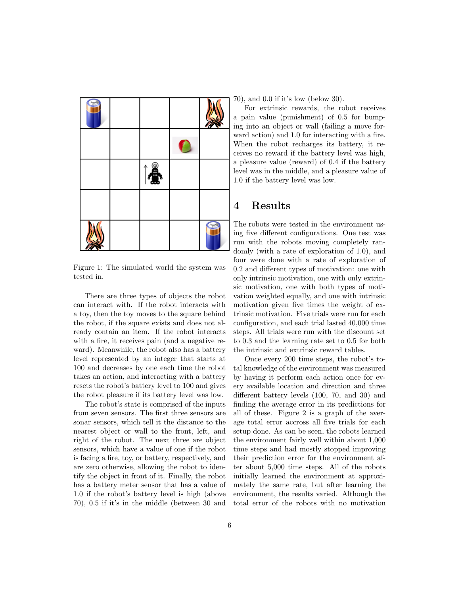

Figure 1: The simulated world the system was tested in.

There are three types of objects the robot can interact with. If the robot interacts with a toy, then the toy moves to the square behind the robot, if the square exists and does not already contain an item. If the robot interacts with a fire, it receives pain (and a negative reward). Meanwhile, the robot also has a battery level represented by an integer that starts at 100 and decreases by one each time the robot takes an action, and interacting with a battery resets the robot's battery level to 100 and gives the robot pleasure if its battery level was low.

The robot's state is comprised of the inputs from seven sensors. The first three sensors are sonar sensors, which tell it the distance to the nearest object or wall to the front, left, and right of the robot. The next three are object sensors, which have a value of one if the robot is facing a fire, toy, or battery, respectively, and are zero otherwise, allowing the robot to identify the object in front of it. Finally, the robot has a battery meter sensor that has a value of 1.0 if the robot's battery level is high (above 70), 0.5 if it's in the middle (between 30 and

70), and 0.0 if it's low (below 30).

For extrinsic rewards, the robot receives a pain value (punishment) of 0.5 for bumping into an object or wall (failing a move forward action) and 1.0 for interacting with a fire. When the robot recharges its battery, it receives no reward if the battery level was high, a pleasure value (reward) of 0.4 if the battery level was in the middle, and a pleasure value of 1.0 if the battery level was low.

### 4 Results

The robots were tested in the environment using five different configurations. One test was run with the robots moving completely randomly (with a rate of exploration of 1.0), and four were done with a rate of exploration of 0.2 and different types of motivation: one with only intrinsic motivation, one with only extrinsic motivation, one with both types of motivation weighted equally, and one with intrinsic motivation given five times the weight of extrinsic motivation. Five trials were run for each configuration, and each trial lasted 40,000 time steps. All trials were run with the discount set to 0.3 and the learning rate set to 0.5 for both the intrinsic and extrinsic reward tables.

Once every 200 time steps, the robot's total knowledge of the environment was measured by having it perform each action once for every available location and direction and three different battery levels (100, 70, and 30) and finding the average error in its predictions for all of these. Figure 2 is a graph of the average total error accross all five trials for each setup done. As can be seen, the robots learned the environment fairly well within about 1,000 time steps and had mostly stopped improving their prediction error for the environment after about 5,000 time steps. All of the robots initially learned the environment at approximately the same rate, but after learning the environment, the results varied. Although the total error of the robots with no motivation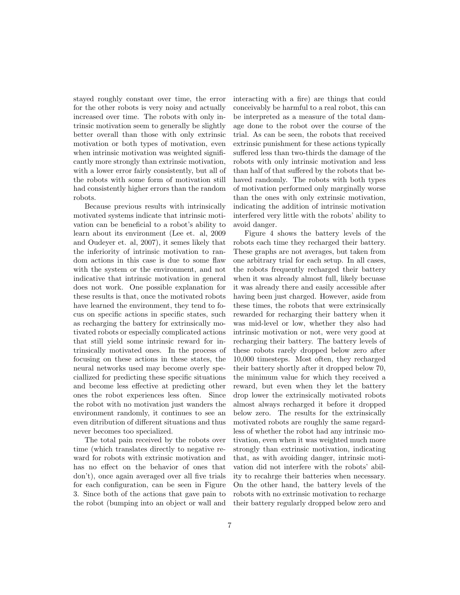stayed roughly constant over time, the error for the other robots is very noisy and actually increased over time. The robots with only intrinsic motivation seem to generally be slightly better overall than those with only extrinsic motivation or both types of motivation, even when intrinsic motivation was weighted significantly more strongly than extrinsic motivation, with a lower error fairly consistently, but all of the robots with some form of motivation still had consistently higher errors than the random robots.

Because previous results with intrinsically motivated systems indicate that intrinsic motivation can be beneficial to a robot's ability to learn about its environment (Lee et. al, 2009 and Oudeyer et. al, 2007), it semes likely that the inferiority of intrinsic motivation to random actions in this case is due to some flaw with the system or the environment, and not indicative that intrinsic motivation in general does not work. One possible explanation for these results is that, once the motivated robots have learned the environment, they tend to focus on specific actions in specific states, such as recharging the battery for extrinsically motivated robots or especially complicated actions that still yield some intrinsic reward for intrinsically motivated ones. In the process of focusing on these actions in these states, the neural networks used may become overly speciallized for predicting these specific situations and become less effective at predicting other ones the robot experiences less often. Since the robot with no motivation just wanders the environment randomly, it continues to see an even ditribution of different situations and thus never becomes too specialized.

The total pain received by the robots over time (which translates directly to negative reward for robots with extrinsic motivation and has no effect on the behavior of ones that don't), once again averaged over all five trials for each configuration, can be seen in Figure 3. Since both of the actions that gave pain to the robot (bumping into an object or wall and

interacting with a fire) are things that could conceivably be harmful to a real robot, this can be interpreted as a measure of the total damage done to the robot over the course of the trial. As can be seen, the robots that received extrinsic punishment for these actions typically suffered less than two-thirds the damage of the robots with only intrinsic motivation and less than half of that suffered by the robots that behaved randomly. The robots with both types of motivation performed only marginally worse than the ones with only extrinsic motivation, indicating the addition of intrinsic motivation interfered very little with the robots' ability to avoid danger.

Figure 4 shows the battery levels of the robots each time they recharged their battery. These graphs are not averages, but taken from one arbitrary trial for each setup. In all cases, the robots frequently recharged their battery when it was already almost full, likely becuase it was already there and easily accessible after having been just charged. However, aside from these times, the robots that were extrinsically rewarded for recharging their battery when it was mid-level or low, whether they also had intrinsic motivation or not, were very good at recharging their battery. The battery levels of these robots rarely dropped below zero after 10,000 timesteps. Most often, they recharged their battery shortly after it dropped below 70, the minimum value for which they received a reward, but even when they let the battery drop lower the extrinsically motivated robots almost always recharged it before it dropped below zero. The results for the extrinsically motivated robots are roughly the same regardless of whether the robot had any intrinsic motivation, even when it was weighted much more strongly than extrinsic motivation, indicating that, as with avoiding danger, intrinsic motivation did not interfere with the robots' ability to recahrge their batteries when necessary. On the other hand, the battery levels of the robots with no extrinsic motivation to recharge their battery regularly dropped below zero and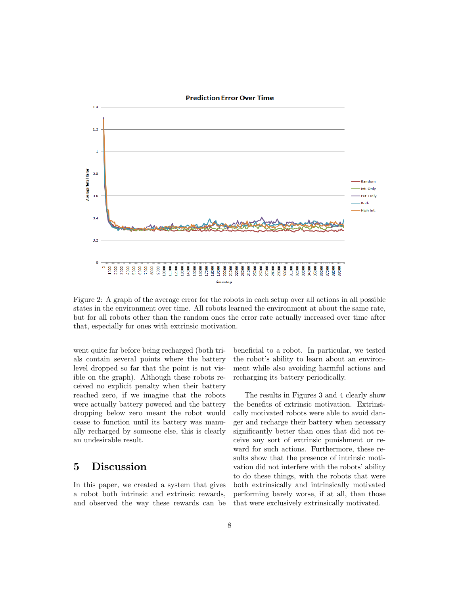

Figure 2: A graph of the average error for the robots in each setup over all actions in all possible states in the environment over time. All robots learned the environment at about the same rate, but for all robots other than the random ones the error rate actually increased over time after that, especially for ones with extrinsic motivation.

went quite far before being recharged (both trials contain several points where the battery level dropped so far that the point is not visible on the graph). Although these robots received no explicit penalty when their battery reached zero, if we imagine that the robots were actually battery powered and the battery dropping below zero meant the robot would cease to function until its battery was manually recharged by someone else, this is clearly an undesirable result.

### 5 Discussion

In this paper, we created a system that gives a robot both intrinsic and extrinsic rewards, and observed the way these rewards can be beneficial to a robot. In particular, we tested the robot's ability to learn about an environment while also avoiding harmful actions and recharging its battery periodically.

The results in Figures 3 and 4 clearly show the benefits of extrinsic motivation. Extrinsically motivated robots were able to avoid danger and recharge their battery when necessary significantly better than ones that did not receive any sort of extrinsic punishment or reward for such actions. Furthermore, these results show that the presence of intrinsic motivation did not interfere with the robots' ability to do these things, with the robots that were both extrinsically and intrinsically motivated performing barely worse, if at all, than those that were exclusively extrinsically motivated.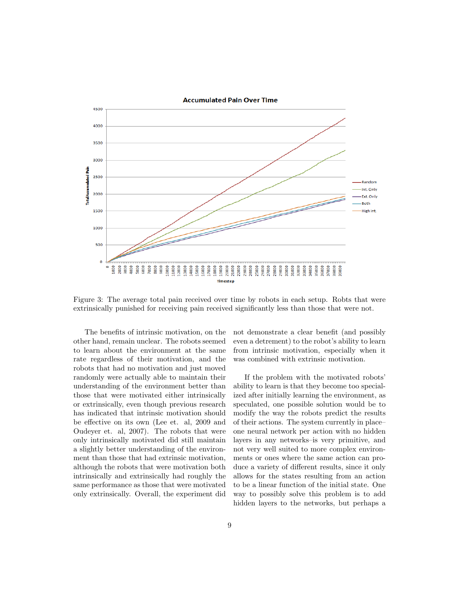

Figure 3: The average total pain received over time by robots in each setup. Robts that were extrinsically punished for receiving pain received significantly less than those that were not.

The benefits of intrinsic motivation, on the other hand, remain unclear. The robots seemed to learn about the environment at the same rate regardless of their motivation, and the robots that had no motivation and just moved randomly were actually able to maintain their understanding of the environment better than those that were motivated either intrinsically or extrinsically, even though previous research has indicated that intrinsic motivation should be effective on its own (Lee et. al, 2009 and Oudeyer et. al, 2007). The robots that were only intrinsically motivated did still maintain a slightly better understanding of the environment than those that had extrinsic motivation, although the robots that were motivation both intrinsically and extrinsically had roughly the same performance as those that were motivated only extrinsically. Overall, the experiment did

not demonstrate a clear benefit (and possibly even a detrement) to the robot's ability to learn from intrinsic motivation, especially when it was combined with extrinsic motivation.

If the problem with the motivated robots' ability to learn is that they become too specialized after initially learning the environment, as speculated, one possible solution would be to modify the way the robots predict the results of their actions. The system currently in place– one neural network per action with no hidden layers in any networks–is very primitive, and not very well suited to more complex environments or ones where the same action can produce a variety of different results, since it only allows for the states resulting from an action to be a linear function of the initial state. One way to possibly solve this problem is to add hidden layers to the networks, but perhaps a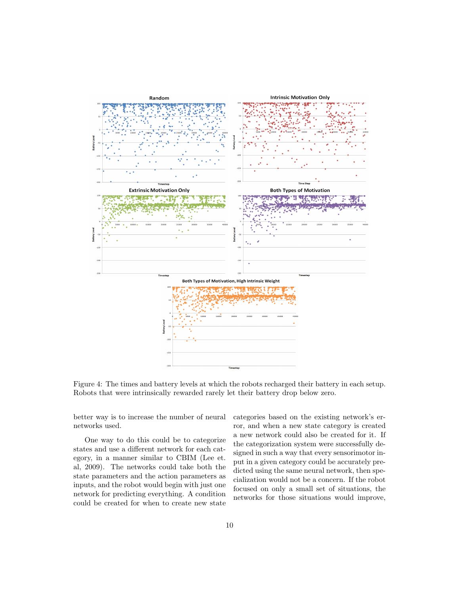

Figure 4: The times and battery levels at which the robots recharged their battery in each setup. Robots that were intrinsically rewarded rarely let their battery drop below zero.

better way is to increase the number of neural networks used.

One way to do this could be to categorize states and use a different network for each category, in a manner similar to CBIM (Lee et. al, 2009). The networks could take both the state parameters and the action parameters as inputs, and the robot would begin with just one network for predicting everything. A condition could be created for when to create new state

categories based on the existing network's error, and when a new state category is created a new network could also be created for it. If the categorization system were successfully designed in such a way that every sensorimotor input in a given category could be accurately predicted using the same neural network, then specialization would not be a concern. If the robot focused on only a small set of situations, the networks for those situations would improve,